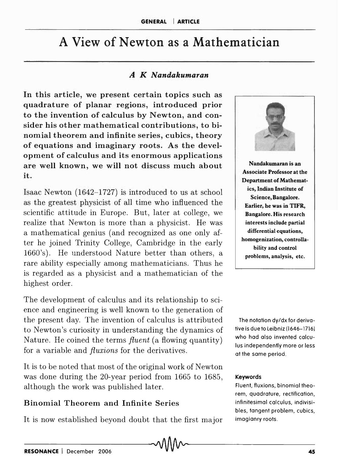# A View of Newton as a Mathematician

#### *A K Nandakumaran*

In this article, we present certain topics such as quadrature of planar regions, introduced prior to the invention of calculus by Newton, and consider his other mathematical contributions, to binomial theorem and infinite series, cubics, theory of equations and imaginary roots. As the development of calculus and its enormous applications are well known, we will not discuss much about it.

Isaac Newton (1642-1727) is introduced to us at school as the greatest physicist of all time who influenced the scientific attitude in Europe. But, later at college, we realize that Newton is more than a physicist. He was a mathematical genius (and recognized as one only after he joined Trinity College, Cambridge in the early 1660's). He understood Nature better than others, a rare ability especially among mathematicians. Thus he is regarded as a physicist and a mathematician of the highest order.

The development of calculus and its relationship to science and engineering is well known to the generation of the present day. The invention of calculus is attributed to Newton's curiosity in understanding the dynamics of Nature. He coined the terms *fluent* (a flowing quantity) for a variable and *fluxions* for the derivatives.

It is to be noted that most of the original work of Newton was done during the 20-year period from 1665 to 1685, although the work was published later.

#### Binomial Theorem and Infinite Series

It is now established beyond doubt that the first major



Nandakumaran is an Associate Professor at the Department of Mathematics, Indian Institute of Science, Bangalore. Earlier, he was in TIFR, Bangalore. His research interests include partial differential equations, homogenization, controllability and control problems, analysis, etc.

The notation dy/dx for derivative is due to Leibniz (1646-1716) who had also invented calculus independently more or less at the same period.

#### Keywords

Fluent, fluxions, binomial theorem, quadrature, rectification, infinitesimal calculus, indivisibles, tangent problem, cubics, imagianry roots.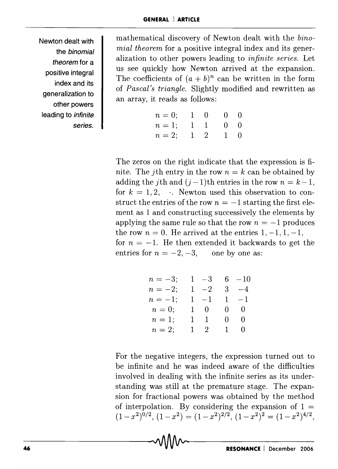Newton dealt with the binomial theorem for a positive integral index and its generalization to other powers leading to infinite series.

mathematical discovery of Newton dealt with the *binomial theorem* for a positive integral index and its generalization to other powers leading to *infinite series.* Let us see quickly how Newton arrived at the expansion. The coefficients of  $(a + b)^n$  can be written in the form of *Pascal's triangle.* Slightly modified and rewritten as an array, it reads as follows:

| $n = 0; 1 0$ |  | $0\quad 0$  |  |
|--------------|--|-------------|--|
| $n = 1; 1 1$ |  | $0\quad 0$  |  |
| $n = 2; 1 2$ |  | $1 \quad 0$ |  |

The zeros on the right indicate that the expression is finite. The *j*th entry in the row  $n = k$  can be obtained by adding the *j*th and  $(j-1)$ th entries in the row  $n = k-1$ , for  $k = 1, 2, \dots$  Newton used this observation to construct the entries of the row  $n = -1$  starting the first element as 1 and constructing successively the elements by applying the same rule so that the row  $n = -1$  produces the row  $n = 0$ . He arrived at the entries  $1, -1, 1, -1$ , for  $n = -1$ . He then extended it backwards to get the entries for  $n = -2, -3$ , one by one as:

| $n = -3; 1 -3 6 -10$ |             |             |
|----------------------|-------------|-------------|
| $n=-2;$              | $1 -2 3 -4$ |             |
| $n = -1;$            | $1 -1 1 -1$ |             |
| $n=0;$               | $1 \quad 0$ | $0\qquad 0$ |
| $n=1;$               | $1 \quad 1$ | $0\qquad 0$ |
| $n=2;$               | $1\quad 2$  | $1 \quad 0$ |

For the negative integers, the expression turned out to be infinite and he was indeed aware of the difficulties involved in dealing with the infinite series as its understanding was still at the premature stage. The expansion for fractional powers was obtained by the method of interpolation. By considering the expansion of  $1 =$  $(1-x^2)^{0/2}$ ,  $(1-x^2) = (1-x^2)^{2/2}$ ,  $(1-x^2)^2 = (1-x^2)^{4/2}$ ,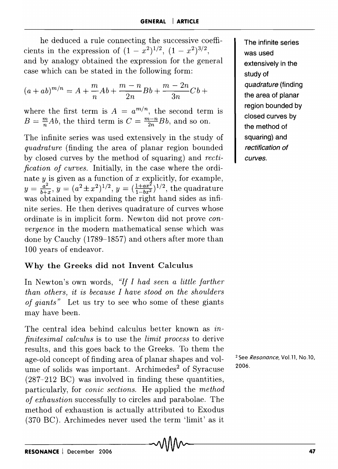he deduced a rule connecting the successive coefficients in the expression of  $(1 - x^2)^{1/2}$ ,  $(1 - x^2)^{3/2}$ , and by analogy obtained the expression for the general case which can be stated in the following form:

$$
(a+ab)^{m/n} = A + \frac{m}{n}Ab + \frac{m-n}{2n}Bb + \frac{m-2n}{3n}Cb +
$$

where the first term is  $A = a^{m/n}$ , the second term is  $B = \frac{m}{n}Ab$ , the third term is  $C = \frac{m-n}{2n}Bb$ , and so on.

The infinite series was used extensively in the study of *quadrature* (finding the area of planar region bounded by closed curves by the method of squaring) and *rectification of curves.* Initially, in the case where the ordinate *y* is given as a function of *x* explicitly, for example,  $y = \frac{a^2}{b+x}$ ,  $y = (a^2 \pm x^2)^{1/2}$ ,  $y = (\frac{1+ax^2}{1-bx^2})^{1/2}$ , the quadrature was obtained by expanding the right hand sides as infinite series. He then derives quadrature of curves whose ordinate is in implicit form. Newton did not prove *convergence* in the modern mathematical sense which was done by Cauchy (1789-1857) and others after more than 100 years of endeavor.

#### Why the Greeks did not Invent Calculus

In Newton's own words, *"If I had seen a little farther than others,* it *is because I have stood on the shoulders of giants"* Let us try to see who some of these giants may have been.

The central idea behind calculus better known as *infinitesimal calculus* is to use the *limit process* to derive results, and this goes back to the Greeks. To them the age-old concept of finding area of planar shapes and volume of solids was important. Archimedes<sup>2</sup> of Syracuse (287-212 BC) was involved in finding these quantities, particularly, for *conic sections.* He applied the *method of exhaustion* successfully to circles and parabolae. The method of exhaustion is actually attributed to Exodus (370 BC). Archimedes never used the term 'limit' as it

The infinite series was used extensively in the study of quadrature (finding the area of planar region bounded by closed curves by the method of squaring) and rectification of curves.

<sup>2</sup> See Resonance, Vol.11, No.10, 2006.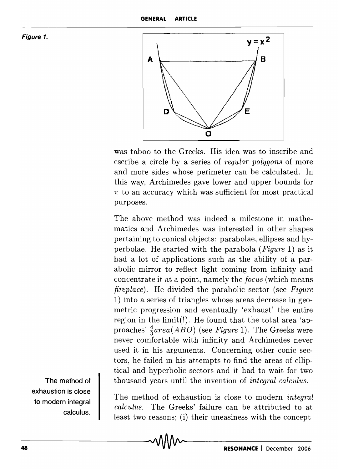**Figure 1.** 



was taboo to the Greeks. His idea was to inscribe and escribe a circle by a series of *regular polygons* of more and more sides whose perimeter can be calculated. In this way, Archimedes gave lower and upper bounds for  $\pi$  to an accuracy which was sufficient for most practical purposes.

The above method was indeed a milestone in mathematics and Archimedes was interested in other shapes pertaining to conical objects: parabolae, ellipses and hyperbolae. He started with the parabola *(Figure* 1) as it had a lot of applications such as the ability of a parabolic mirror to reflect light coming from infinity and concentrate it at a point, namely the *focus* (which means *fireplace).* He divided the parabolic sector (see *Figure*  1) into a series of triangles whose areas decrease in geometric progression and eventually 'exhaust' the entire region in the limit(!). He found that the total area 'approaches'  $\frac{4}{3}$ area(ABO) (see Figure 1). The Greeks were never comfortable with infinity and Archimedes never used it in his arguments. Concerning other conic sectors, he failed in his attempts to find the areas of elliptical and hyperbolic sectors and it had to wait for two thousand years until the invention of *integral calculus.* 

The method of exhaustion is close to modern integral calculus.

The method of exhaustion is close to modern *integral calculus.* The Greeks' failure can be attributed to at least two reasons; (i) their uneasiness with the concept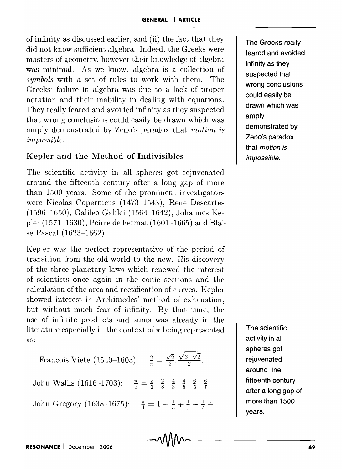of infinity as discussed earlier, and (ii) the fact that they did not know sufficient algebra. Indeed, the Greeks were masters of geometry, however their knowledge of algebra was minimal. As we know, algebra is a collection of *symbols* with a set of rules to work with them. The Greeks' failure in algebra was due to a lack of proper notation and their inability in dealing with equations. They really feared and avoided infinity as they suspected that wrong conclusions could easily be drawn which was amply demonstrated by Zeno's paradox that *motion is impossible.* 

## Kepler and the Method of Indivisibles

The scientific activity in all spheres got rejuvenated around the fifteenth century after a long gap of more than 1500 years. Some of the prominent investigators were Nicolas Copernicus (1473-1543), Rene Descartes (1596-1650), Galileo Galilei (1564-1642), Johannes Kepler (1571-1630), Peirre de Fermat (1601-1665) and Blaise Pascal (1623-1662).

Kepler was the perfect representative of the period of transition from the old world to the new. His discovery of the three planetary laws which renewed the interest of scientists once again in the conic sections and the calculation of the area and rectification of curves. Kepler showed interest in Archimedes' method of exhaustion, but without much fear of infinity. By that time, the use of infinite products and sums was already in the literature especially in the context of  $\pi$  being represented as:

Francois Viete (1540–1603): 
$$
\frac{2}{\pi} = \frac{\sqrt{2}}{2} \cdot \frac{\sqrt{2+\sqrt{2}}}{2}
$$
.  
John Wallis (1616–1703):  $\frac{\pi}{2} = \frac{2}{1} - \frac{2}{3} - \frac{4}{3} - \frac{4}{5} - \frac{6}{5} - \frac{6}{7}$ 

John Gregory (1638–1675):  $\frac{\pi}{4} = 1 - \frac{1}{3} + \frac{1}{5} - \frac{1}{7} +$ 

The Greeks really feared and avoided infinity as they suspected that wrong conclusions could easily be drawn which was amply demonstrated by Zeno's paradox that motion is impossible.

The scientific activity in all spheres got rejuvenated around the fifteenth century after a long gap of more than 1500 years.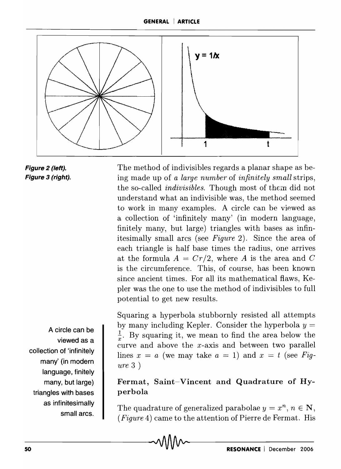

**Figure 2 (left). Figure 3 (right).**  The method of indivisibles regards a planar shape as being made up of *a large number* of *infinitely small* strips, the so-called *indivisibles*. Though most of them did not understand what an indivisible was, the method seemed to work in many examples. A circle can be viewed as a collection of 'infinitely many' (in modern language, finitely many, but large) triangles with bases as infinitesimally small arcs (see *Figure* 2). Since the area of each triangle is half base times the radius, one arrives at the formula  $A = Cr/2$ , where A is the area and C is the circumference. This, of course, has been known since ancient times. For all its mathematical flaws, Kepler was the one to use the method of indivisibles to full potential to get new results.

**A circle can be viewed as a collection of 'infinitely many' (in modern language, finitely many, but large) triangles with bases as infinitesimally small arcs.** 

Squaring a hyperbola stubbornly resisted all attempts by many including Kepler. Consider the hyperbola *y =*   $\frac{1}{r}$ . By squaring it, we mean to find the area below the curve and above the x-axis and between two parallel lines  $x = a$  (we may take  $a = 1$ ) and  $x = t$  (see *Figure* 3 )

## **Fermat, Saint-Vincent and Quadrature of Hyperbola**

The quadrature of generalized parabolae  $y = x^n$ ,  $n \in \mathbb{N}$ , *(Figure* 4) came to the attention of Pierre de Fermat. His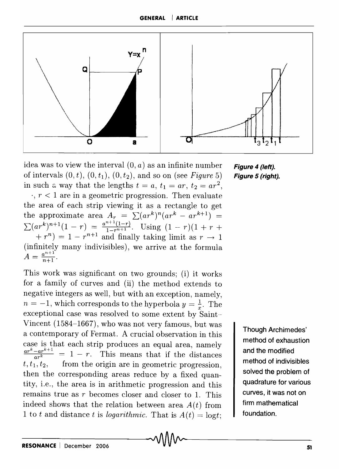

idea was to view the interval  $(0, a)$  as an infinite number of intervals  $(0, t)$ ,  $(0, t_1)$ ,  $(0, t_2)$ , and so on (see *Figure* 5) in such a way that the lengths  $t = a$ ,  $t_1 = ar$ ,  $t_2 = ar^2$ ,  $\cdot$ ,  $r < 1$  are in a geometric progression. Then evaluate the area of each strip viewing it as a rectangle to get the approximate area  $A_r = \sum_{r=1}^{n} (ar^k)^n(ar^k - ar^{k+1}) =$  $\sum (ar^k)^{n+1}(1 - r) = \frac{a^{n+1}(1-r)}{1-r^{n+1}}$ . Using  $(1 - r)(1 + r + r)$  $+r^{n} = 1 - r^{n+1}$  and finally taking limit as  $r \rightarrow 1$ (infinitely many indivisibles), we arrive at the formula  $A = \frac{a^{n+1}}{n+1}$ .

This work was significant on two grounds; (i) it works for a family of curves and (ii) the method extends to negative integers as well, but with an exception, namely,  $n = -1$ , which corresponds to the hyperbola  $y = \frac{1}{r}$ . The exceptional case was resolved to some extent by Saint-Vincent (1584-1667), who was not very famous, but was a contemporary of Fermat. A crucial observation in this case is that each strip produces an equal area, namely  $\frac{ar^k-ar^{k+1}}{ar^k} = 1-r$ . This means that if the distances  $t, t_1, t_2$ , from the origin are in geometric progression. from the origin are in geometric progression, then the corresponding areas reduce by a fixed quantity, i.e., the area is in arithmetic progression and this remains true as r becomes closer and closer to 1. This indeed shows that the relation between area  $A(t)$  from 1 to *t* and distance *t* is *logarithmic*. That is  $A(t) = \log t$ ;

**Figure 4** (left). **Figure 5** (right).

> Though Archimedes' method of exhaustion and the modified method of indivisibles solved the problem of quadrature for various curves, it was not on firm mathematical foundation.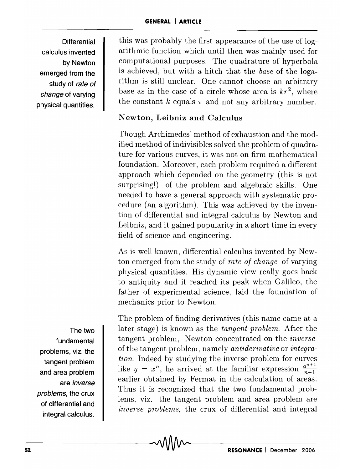**Differential calculus invented by Newton emerged from the**  study of **rate of change of varying physical quantities.** 

this was probably the first appearance of the use of logarithmic function which until then was mainly used for computational purposes. The quadrature of hyperbola is achieved, but with a hitch that the *base* of the logarithm is still unclear. One cannot choose an arbitrary base as in the case of a circle whose area is  $kr^2$ , where the constant k equals  $\pi$  and not any arbitrary number.

## **Newton, Leibniz and Calculus**

Though Archimedes' method of exhaustion and the modified method of indivisibles solved the problem of quadrature for various curves, it was not on firm mathematical foundation. Moreover, each problem required a different approach which depended on the geometry (this is not surprising!) of the problem and algebraic skills. One needed to have a general approach with systematic procedure (an algorithm). This was achieved by the invention of differential and integral calculus by Newton and Leibniz, and it gained popularity in a short time in every field of science and engineering.

As is well known, differential calculus invented by Newton emerged from the study of *rate of change* of varying physical quantities. His dynamic view really goes back to antiquity and it reached its peak when Galileo, the father of experimental science, laid the foundation of mechanics prior to Newton.

The problem of finding derivatives (this name came at a later stage) is known as the *tangent problem.* After the tangent problem, Newton concentrated on the *inverse*  of the tangent problem, namely *antiderivative* or *integration.* Indeed by studying the inverse problem for curves like  $y = x^n$ , he arrived at the familiar expression  $\frac{a^{n+1}}{n+1}$ earlier obtained by Fermat in the calculation of areas. Thus it is recognized that the two fundamental problems, viz. the tangent problem and area problem are *inverse problems,* the crux of differential and integral

The two **fundamental problems, viz. the tangent problem and area problem are inverse problems, the crux of differential and integral calculus.**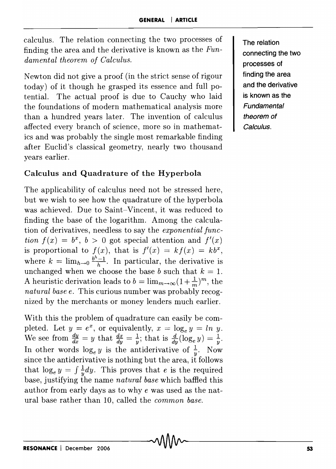calculus. The relation connecting the two processes of finding the area and the derivative is known as the *Fundamental theorem of Calculus.* 

Newton did not give a proof (in the strict sense of rigour today) of it though he grasped its essence and full potential. The actual proof is due to Cauchy who laid the foundations of modern mathematical analysis more than a hundred years later. The invention of calculus affected every branch of science, more so in mathematics and was probably the single most remarkable finding after Euclid's classical geometry, nearly two thousand years earlier.

## Calculus and Quadrature of the Hyperbola

The applicability of calculus need not be stressed here, but we wish to see how the quadrature of the hyperbola was achieved. Due to Saint-Vincent, it was reduced to finding the base of the logarithm. Among the calculation of derivatives, needless to say the *exponential function*  $f(x) = b^x$ ,  $b > 0$  got special attention and  $f'(x)$ is proportional to  $f(x)$ , that is  $f'(x) = kf(x) = kb^x$ , where  $k = \lim_{h \to 0} \frac{b^h - 1}{h}$ . In particular, the derivative is unchanged when we choose the base *b* such that  $k = 1$ . A heuristic derivation leads to  $b = \lim_{m \to \infty} (1 + \frac{1}{m})^m$ , the *natural base* e. This curious number was probably recognized by the merchants or money lenders much earlier.

With this the problem of quadrature can easily be completed. Let  $y = e^x$ , or equivalently,  $x = \log_e y = \ln y$ . We see from  $\frac{dy}{dx} = y$  that  $\frac{dx}{dy} = \frac{1}{y}$ ; that is  $\frac{d}{dy}(\log_e y) = \frac{1}{y}$ . In other words  $\log_e y$  is the antiderivative of  $\frac{1}{y}$ . Now since the antiderivative is nothing but the area, it follows that  $\log_e y = \int \frac{1}{x} dy$ . This proves that *e* is the required base, justifying the name *natural base* which baffled this author from early days as to why *e* was used as the natural base rather than 10, called the *common base.* 

The relation connecting the two processes of finding the area and the derivative is known as the Fundamental theorem of Calculus.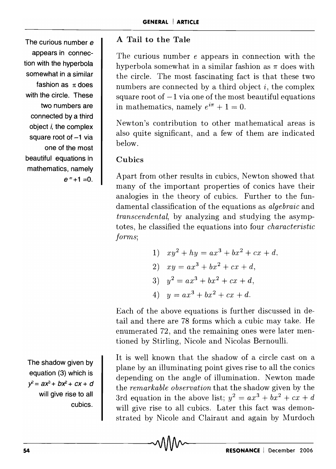The curious number e appears in connection with the hyperbola somewhat in a similar fashion as  $\pi$  does with the circle. These two numbers are connected by a third object i, the complex square root of  $-1$  via one of the most beautiful equations in mathematics, namely  $e^{(m)}+1=0$ .

The shadow given by equation (3) which is  $y^2 = ax^3 + bx^2 + cx + d$ will give rise to all cubics.

## A Tail to the Tale

The curious number *e* appears in connection with the hyperbola somewhat in a similar fashion as  $\pi$  does with the circle. The most fascinating fact is that these two numbers are connected by a third object  $i$ , the complex square root of  $-1$  via one of the most beautiful equations in mathematics, namely  $e^{i\pi} + 1 = 0$ .

Newton's contribution to other mathematical areas is also quite significant, and a few of them are indicated below.

#### Cubics

Apart from other results in cubics, Newton showed that many of the important properties of conics have their analogies in the theory of cubics. Further to the fundamental classification of the equations as *algebraic* and *transcendental*, by analyzing and studying the asymptotes, he classified the equations into four *characteristic forms;* 

1) 
$$
xy^2 + hy = ax^3 + bx^2 + cx + d
$$
,  
\n2)  $xy = ax^3 + bx^2 + cx + d$ ,  
\n3)  $y^2 = ax^3 + bx^2 + cx + d$ ,  
\n4)  $y = ax^3 + bx^2 + cx + d$ .

Each of the above equations is further discussed in detail and there are 78 forms which a cubic may take. He enumerated 72, and the remaining ones were later mentioned by Stirling, Nicole and Nicolas Bernoulli.

It is well known that the shadow of a circle cast on a plane by an illuminating point gives rise to all the conics depending on the angle of illumination. Newton made the *remarkable observation* that the shadow given by the 3rd equation in the above list;  $y^2 = ax^3 + bx^2 + cx + d$ will give rise to all cubics. Later this fact was demonstrated by Nicole and Clairaut and again by Murdoch